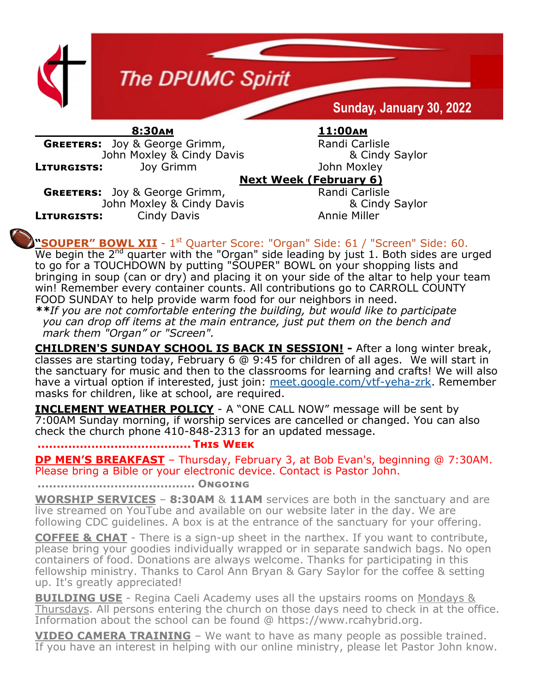

 **8:30am 11:00am GREETERS:** Joy & George Grimm, Randi Carlisle John Moxley & Cindy Davis & Cindy Saylor **Liturgists:** Joy Grimm John Moxley

## **Next Week (February 6)**

**GREETERS:** Joy & George Grimm, Randi Carlisle John Moxley & Cindy Davis & Cindy Saylor **LITURGISTS:** Cindy Davis **Constant Constant Annie Miller** 

**"SOUPER" BOWL XII** - 1<sup>st</sup> Quarter Score: "Organ" Side: 61 / "Screen" Side: 60.

We begin the 2<sup>nd</sup> quarter with the "Organ" side leading by just 1. Both sides are urged to go for a TOUCHDOWN by putting "SOUPER" BOWL on your shopping lists and bringing in soup (can or dry) and placing it on your side of the altar to help your team win! Remember every container counts. All contributions go to CARROLL COUNTY FOOD SUNDAY to help provide warm food for our neighbors in need.

*\*\*If you are not comfortable entering the building, but would like to participate you can drop off items at the main entrance, just put them on the bench and mark them "Organ" or "Screen".*

**CHILDREN'S SUNDAY SCHOOL IS BACK IN SESSION! -** After a long winter break, classes are starting today, February 6  $@$  9:45 for children of all ages. We will start in the sanctuary for music and then to the classrooms for learning and crafts! We will also have a virtual option if interested, just join: [meet.google.com/vtf](https://www.dpumc.net/groups/childrens-ministries/sunday-school/meet.google.com/vtf-yeha-zrk)-yeha-zrk. Remember masks for children, like at school, are required.

**INCLEMENT WEATHER POLICY** - A "ONE CALL NOW" message will be sent by 7:00AM Sunday morning, if worship services are cancelled or changed. You can also check the church phone 410-848-2313 for an updated message.

## **........................................ This Week**

**DP MEN'S BREAKFAST** – Thursday, February 3, at Bob Evan's, beginning @ 7:30AM. Please bring a Bible or your electronic device. Contact is Pastor John.

**......................................... Ongoing**

**WORSHIP SERVICES** – **8:30AM** & **11AM** services are both in the sanctuary and are live streamed on YouTube and available on our website later in the day. We are following CDC guidelines. A box is at the entrance of the sanctuary for your offering.

**COFFEE & CHAT** - There is a sign-up sheet in the narthex. If you want to contribute, please bring your goodies individually wrapped or in separate sandwich bags. No open containers of food. Donations are always welcome. Thanks for participating in this fellowship ministry. Thanks to Carol Ann Bryan & Gary Saylor for the coffee & setting up. It's greatly appreciated!

**BUILDING USE** - Regina Caeli Academy uses all the upstairs rooms on Mondays & Thursdays. All persons entering the church on those days need to check in at the office. Information about the school can be found @ https://www.rcahybrid.org.

**VIDEO CAMERA TRAINING** – We want to have as many people as possible trained. If you have an interest in helping with our online ministry, please let Pastor John know.